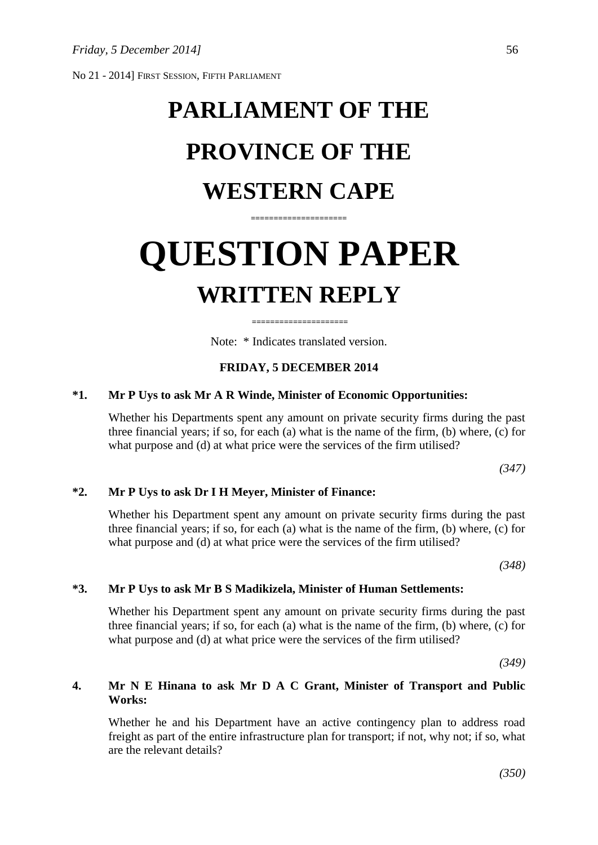No 21 - 2014] FIRST SESSION, FIFTH PARLIAMENT

# **PARLIAMENT OF THE PROVINCE OF THE WESTERN CAPE**

# **QUESTION PAPER WRITTEN REPLY**

**=====================**

Note: \* Indicates translated version.

**=====================**

### **FRIDAY, 5 DECEMBER 2014**

#### **\*1. Mr P Uys to ask Mr A R Winde, Minister of Economic Opportunities:**

Whether his Departments spent any amount on private security firms during the past three financial years; if so, for each (a) what is the name of the firm, (b) where, (c) for what purpose and (d) at what price were the services of the firm utilised?

*(347)*

### **\*2. Mr P Uys to ask Dr I H Meyer, Minister of Finance:**

Whether his Department spent any amount on private security firms during the past three financial years; if so, for each (a) what is the name of the firm, (b) where, (c) for what purpose and (d) at what price were the services of the firm utilised?

*(348)*

#### **\*3. Mr P Uys to ask Mr B S Madikizela, Minister of Human Settlements:**

Whether his Department spent any amount on private security firms during the past three financial years; if so, for each (a) what is the name of the firm, (b) where, (c) for what purpose and (d) at what price were the services of the firm utilised?

*(349)*

## **4. Mr N E Hinana to ask Mr D A C Grant, Minister of Transport and Public Works:**

Whether he and his Department have an active contingency plan to address road freight as part of the entire infrastructure plan for transport; if not, why not; if so, what are the relevant details?